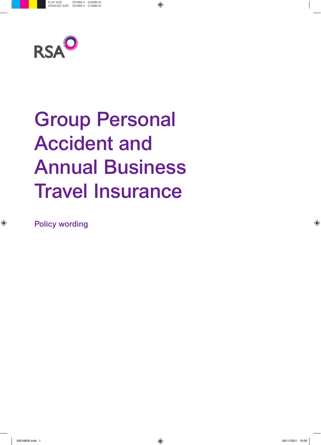

# Group Personal Accident and Annual Business Travel Insurance

Policy wording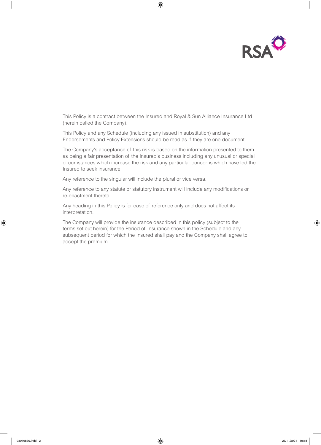

This Policy is a contract between the Insured and Royal & Sun Alliance Insurance Ltd (herein called the Company).

This Policy and any Schedule (including any issued in substitution) and any Endorsements and Policy Extensions should be read as if they are one document.

The Company's acceptance of this risk is based on the information presented to them as being a fair presentation of the Insured's business including any unusual or special circumstances which increase the risk and any particular concerns which have led the Insured to seek insurance.

Any reference to the singular will include the plural or vice versa.

Any reference to any statute or statutory instrument will include any modifications or re-enactment thereto.

Any heading in this Policy is for ease of reference only and does not affect its interpretation.

The Company will provide the insurance described in this policy (subject to the terms set out herein) for the Period of Insurance shown in the Schedule and any subsequent period for which the Insured shall pay and the Company shall agree to accept the premium.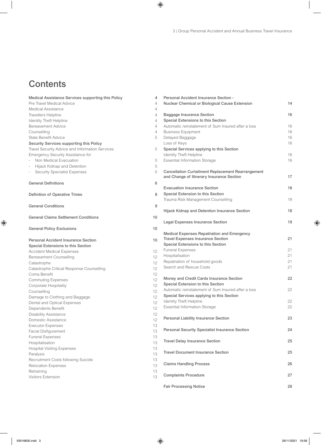## **Contents**

| Medical Assistance Services supporting this Policy | 4               |
|----------------------------------------------------|-----------------|
| Pre Travel Medical Advice                          | 4               |
| <b>Medical Assistance</b>                          | 4               |
| <b>Travellers Helpline</b>                         | 4               |
| <b>Identity Theft Helpline</b>                     | $\overline{4}$  |
| <b>Bereavement Advice</b>                          | $\overline{4}$  |
| Counselling                                        | 4               |
| <b>State Benefit Advice</b>                        | 5               |
| Security Services supporting this Policy           |                 |
| Travel Security Advice and Information Services    | 5               |
| Emergency Security Assistance for                  |                 |
| Non Medical Evacuation                             | 5               |
| Hijack Kidnap and Detention                        | 5               |
| <b>Security Specialist Expenses</b><br>$\sim$      | 5               |
| <b>General Definitions</b>                         | 6               |
| Definition of Operative Times                      | 8               |
| <b>General Conditions</b>                          | 9               |
| <b>General Claims Settlement Conditions</b>        | 10              |
| <b>General Policy Exclusions</b>                   | 10              |
| <b>Personal Accident Insurance Section</b>         | 10              |
| Special Extensions to this Section                 |                 |
| <b>Accident Medical Expenses</b>                   | 12              |
| <b>Bereavement Counselling</b>                     | 12              |
| Catastrophe                                        | 12 <sup>2</sup> |
| Catastrophe Critical Response Counselling          | 12 <sup>°</sup> |
| Coma Benefit                                       | 12 <sup>°</sup> |
| <b>Commuting Expenses</b>                          | 12              |
| Corporate Hospitality                              | 12              |
| Counselling                                        | 12              |
| Damage to Clothing and Baggage                     | 12              |
| Dental and Optical Expenses                        | 12              |
| Dependents Benefit                                 | 12              |
| <b>Disability Assistance</b>                       | 12              |
| Domestic Assistance                                | 12              |
| <b>Executor Expenses</b>                           | 13              |
| <b>Facial Disfigurement</b>                        | 13              |
| <b>Funeral Expenses</b>                            | 13              |
| Hospitalisation                                    | 13              |
| <b>Hospital Visiting Expenses</b>                  | 13              |
| Paralysis                                          | 13              |
| Recruitment Costs following Suicide                | 13              |
| Relocation Expenses                                | 13              |
| Retraining                                         | 13              |
| <b>Visitors Extension</b>                          | 13              |
|                                                    |                 |

| Personal Accident Insurance Section -<br>Nuclear Chemical or Biological Cause Extension                                       | 14 |
|-------------------------------------------------------------------------------------------------------------------------------|----|
| <b>Baggage Insurance Section</b>                                                                                              | 16 |
| Special Extensions to this Section                                                                                            |    |
| Automatic reinstatement of Sum Insured after a loss                                                                           | 16 |
| <b>Business Equipment</b>                                                                                                     | 16 |
| Delayed Baggage                                                                                                               | 16 |
| Loss of Keys                                                                                                                  | 16 |
| Special Services applying to this Section                                                                                     |    |
| <b>Identity Theft Helpline</b>                                                                                                | 16 |
| <b>Essential Information Storage</b>                                                                                          | 16 |
| <b>Cancellation Curtailment Replacement Rearrangement</b><br>and Change of Itinerary Insurance Section                        | 17 |
| <b>Evacuation Insurance Section</b>                                                                                           | 18 |
| Special Extension to this Section                                                                                             |    |
| Trauma Risk Management Counselling                                                                                            | 18 |
| Hijack Kidnap and Detention Insurance Section                                                                                 | 18 |
| <b>Legal Expenses Insurance Section</b>                                                                                       | 19 |
| Medical Expenses Repatriation and Emergency<br><b>Travel Expenses Insurance Section</b><br>Special Extensions to this Section | 21 |
| <b>Funeral Expenses</b>                                                                                                       | 21 |
| Hospitalisation                                                                                                               | 21 |
| Repatriation of household goods                                                                                               | 21 |
| Search and Rescue Costs                                                                                                       | 21 |
| Money and Credit Cards Insurance Section<br>Special Extension to this Section                                                 | 22 |
| Automatic reinstatement of Sum Insured after a loss                                                                           | 22 |
| Special Services applying to this Section                                                                                     |    |
| <b>Identity Theft Helpline</b>                                                                                                | 22 |
| <b>Essential Information Storage</b>                                                                                          | 22 |
|                                                                                                                               |    |
| Personal Liability Insurance Section                                                                                          | 23 |
| <b>Personal Security Specialist Insurance Section</b>                                                                         | 24 |
| <b>Travel Delay Insurance Section</b>                                                                                         | 25 |
| <b>Travel Document Insurance Section</b>                                                                                      | 25 |
| <b>Claims Handling Process</b>                                                                                                | 26 |
| <b>Complaints Procedure</b>                                                                                                   | 27 |
| <b>Fair Processing Notice</b>                                                                                                 | 28 |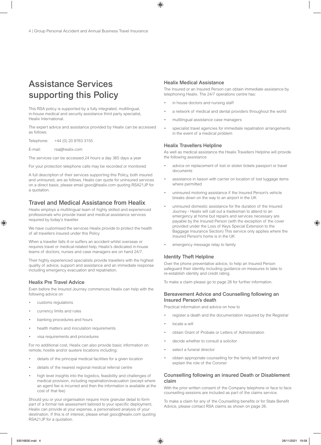## Assistance Services supporting this Policy

This RSA policy is supported by a fully integrated, multilingual, in-house medical and security assistance third party specialist, Healix International.

The expert advice and assistance provided by Healix can be accessed as follows:

Telephone: +44 (0) 20 8763 3155

E-mail: rsa@healix.com

The services can be accessed 24 hours a day 365 days a year

For your protection telephone calls may be recorded or monitored

A full description of their services supporting this Policy, both insured and uninsured, are as follows. Healix can quote for uninsured services on a direct basis, please email gsoc@healix.com quoting RSA21JP for a quotation.

### Travel and Medical Assistance from Healix

Healix employs a multilingual team of highly skilled and experienced professionals who provide travel and medical assistance services required by today's traveller.

We have customised the services Healix provide to protect the health of all travellers insured under this Policy

When a traveller falls ill or suffers an accident whilst overseas or requires travel or medical-related help, Healix's dedicated in-house teams of doctors, nurses and case managers are on hand 24/7.

Their highly experienced specialists provide travellers with the highest quality of advice, support and assistance and an immediate response including emergency evacuation and repatriation.

#### Healix Pre Travel Advice

Even before the Insured Journey commences Healix can help with the following advice on

- customs regulations
- currency limits and rules
- banking procedures and hours
- health matters and inoculation requirements
- visa requirements and procedures

For no additional cost, Healix can also provide basic information on remote, hostile and/or austere locations including:

- details of the principal medical facilities for a given location
- details of the nearest regional medical referral centre
- high level insights into the logistics, feasibility and challenges of medical provision, including repatriation/evacuation (except where an agent fee is incurred and then the information is available at the cost of that fee)

Should you or your organisation require more granular detail to form part of a formal risk assessment tailored to your specific deployment, Healix can provide at your expense, a personalised analysis of your destination. If this is of interest, please email gsoc@healix.com quoting RSA21JP for a quotation.

### Healix Medical Assistance

The Insured or an Insured Person can obtain immediate assistance by telephoning Healix. The 24/7 operations centre has:

- in house doctors and nursing staff
- a network of medical and dental providers throughout the world
- multilingual assistance case managers
- specialist travel agencies for immediate repatriation arrangements in the event of a medical problem

### Healix Travellers Helpline

As well as medical assistance the Healix Travellers Helpline will provide the following assistance

- advice on replacement of lost or stolen tickets passport or travel documents
- assistance in liaison with carrier on location of lost luggage items where permitted
- uninsured motoring assistance if the Insured Person's vehicle breaks down on the way to an airport in the UK
- uninsured domestic assistance for the duration of the Insured Journey - Healix will call out a tradesman to attend to an emergency at home but repairs and services necessary are payable by the Insured Person (with the exception of the cover provided under the Loss of Keys Special Extension to the Baggage Insurance Section) This service only applies where the Insured Person's home is in the UK
- emergency message relay to family

#### Identity Theft Helpline

Over the phone preventative advice, to help an Insured Person safeguard their identity including guidance on measures to take to re-establish identity and credit rating.

To make a claim please go to page 26 for further information.

### Bereavement Advice and Counselling following an Insured Person's death

Practical information and advice on how to

- register a death and the documentation required by the Registrar
- locate a will
- obtain Grant of Probate or Letters of Administration
- decide whether to consult a solicitor
- select a funeral director
- obtain appropriate counselling for the family left behind and explain the role of the Coroner

### Counselling following an insured Death or Disablement claim

With the prior written consent of the Company telephone or face to face counselling sessions are included as part of the claims service.

To make a claim for any of the Counselling benefits or for State Benefit Advice, please contact RSA claims as shown on page 26.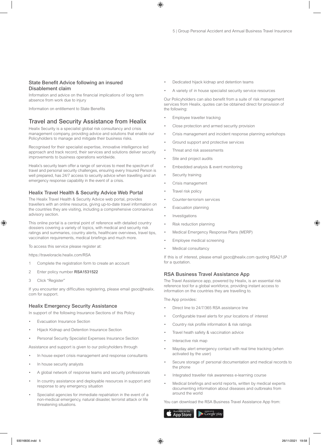### State Benefit Advice following an insured Disablement claim

Information and advice on the financial implications of long term absence from work due to injury

Information on entitlement to State Benefits

### Travel and Security Assistance from Healix

Healix Security is a specialist global risk consultancy and crisis management company, providing advice and solutions that enable our Policyholders to manage and mitigate their business risks.

Recognised for their specialist expertise, innovative intelligence led approach and track record, their services and solutions deliver security improvements to business operations worldwide.

Healix's security team offer a range of services to meet the spectrum of travel and personal security challenges, ensuring every Insured Person is well prepared, has 24/7 access to security advice when travelling and an emergency response capability in the event of a crisis.

### Healix Travel Health & Security Advice Web Portal

The Healix Travel Health & Security Advice web portal, provides travellers with an online resource, giving up-to-date travel information on the countries they are visiting, including a comprehensive coronavirus advisory section.

This online portal is a central point of reference with detailed country dossiers covering a variety of topics, with medical and security risk ratings and summaries, country alerts, healthcare overviews, travel tips, vaccination requirements, medical briefings and much more.

To access this service please register at:

https://traveloracle.healix.com/RSA

- 1 Complete the registration form to create an account
- 2 Enter policy number RSA1531522
- 3 Click "Register"

If you encounter any difficulties registering, please email gsoc@healix. com for support.

#### Healix Emergency Security Assistance

In support of the following Insurance Sections of this Policy

- Evacuation Insurance Section
- Hijack Kidnap and Detention Insurance Section
- Personal Security Specialist Expenses Insurance Section

Assistance and support is given to our policyholders through

- In house expert crisis management and response consultants
- In house security analysts
- A global network of response teams and security professionals
- In country assistance and deployable resources in support and response to any emergency situation
- Specialist agencies for immediate repatriation in the event of a non-medical emergency, natural disaster, terrorist attack or life threatening situations.
- Dedicated hijack kidnap and detention teams
- A variety of in house specialist security service resources

Our Policyholders can also benefit from a suite of risk management services from Healix, quotes can be obtained direct for provision of the following:

- Employee traveller tracking
- Close protection and armed security provision
- Crisis management and incident response planning workshops
- Ground support and protective services
- Threat and risk assessments
- Site and project audits
- Embedded analysis & event monitoring
- Security training
- Crisis management
- Travel risk policy
- Counter-terrorism services
- **Evacuation planning**
- **Investigations**
- Risk reduction planning
- Medical Emergency Response Plans (MERP)
- Employee medical screening
- Medical consultancy

If this is of interest, please email gsoc@healix.com quoting RSA21JP for a quotation.

#### RSA Business Travel Assistance App

The Travel Assistance app, powered by Healix, is an essential risk reference tool for a global workforce, providing instant access to information on the countries they are travelling to.

The App provides:

- Direct line to 24/7/365 RSA assistance line
- Configurable travel alerts for your locations of interest
- Country risk profile information & risk ratings
- Travel heath safety & vaccination advice
- Interactive risk map
- Mayday alert emergency contact with real time tracking (when activated by the user)
- Secure storage of personal documentation and medical records to the phone
- Integrated traveller risk awareness e-learning course
- Medical briefings and world reports, written by medical experts documenting information about diseases and outbreaks from around the world

You can download the RSA Business Travel Assistance App from:

Google play App Store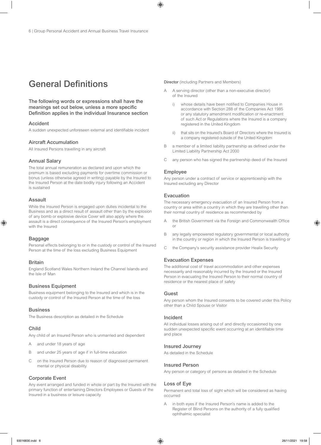## General Definitions

The following words or expressions shall have the meanings set out below, unless a more specific Definition applies in the individual Insurance section

#### Accident

A sudden unexpected unforeseen external and identifiable incident

#### Aircraft Accumulation

All Insured Persons travelling in any aircraft

### Annual Salary

The total annual remuneration as declared and upon which the premium is based excluding payments for overtime commission or bonus (unless otherwise agreed in writing) payable by the Insured to the Insured Person at the date bodily injury following an Accident is sustained

#### Assault

While the Insured Person is engaged upon duties incidental to the Business and as a direct result of assault other than by the explosion of any bomb or explosive device Cover will also apply where the assault is a direct consequence of the Insured Person's employment with the Insured

#### Baggage

Personal effects belonging to or in the custody or control of the Insured Person at the time of the loss excluding Business Equipment

#### Britain

England Scotland Wales Northern Ireland the Channel Islands and the Isle of Man

### Business Equipment

Business equipment belonging to the Insured and which is in the custody or control of the Insured Person at the time of the loss

#### **Business**

The Business description as detailed in the Schedule

#### Child

Any child of an Insured Person who is unmarried and dependent

- A and under 18 years of age
- B and under 25 years of age if in full-time education
- C on the Insured Person due to reason of diagnosed permanent mental or physical disability

#### Corporate Event

Any event arranged and funded in whole or part by the Insured with the primary function of entertaining Directors Employees or Guests of the Insured in a business or leisure capacity

Director (including Partners and Members)

- A serving director (other than a non-executive director) of the Insured
	- i) whose details have been notified to Companies House in accordance with Section 288 of the Companies Act 1985 or any statutory amendment modification or re-enactment of such Act or Regulations where the Insured is a company registered in the United Kingdom
	- ii) that sits on the Insured's Board of Directors where the Insured is a company registered outside of the United Kingdom
- B a member of a limited liability partnership as defined under the Limited Liability Partnership Act 2000
- C any person who has signed the partnership deed of the Insured

### Employee

Any person under a contract of service or apprenticeship with the Insured excluding any Director

### Evacuation

The necessary emergency evacuation of an Insured Person from a country or area within a country in which they are travelling other than their normal country of residence as recommended by

- the British Government via the Foreign and Commonwealth Office or
- B any legally empowered regulatory governmental or local authority in the country or region in which the Insured Person is travelling or
- C the Company's security assistance provider Healix Security

#### Evacuation Expenses

The additional cost of travel accommodation and other expenses necessarily and reasonably incurred by the Insured or the Insured Person in evacuating the Insured Person to their normal country of residence or the nearest place of safety

#### Guest

Any person whom the Insured consents to be covered under this Policy other than a Child Spouse or Visitor

#### Incident

All individual losses arising out of and directly occasioned by one sudden unexpected specific event occurring at an identifiable time and place

### Insured Journey

As detailed in the Schedule

### Insured Person

Any person or category of persons as detailed in the Schedule

#### Loss of Eye

Permanent and total loss of sight which will be considered as having occurred

A in both eyes if the Insured Person's name is added to the Register of Blind Persons on the authority of a fully qualified ophthalmic specialist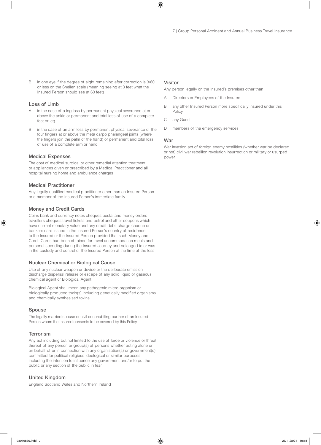B in one eye if the degree of sight remaining after correction is 3/60 or less on the Snellen scale (meaning seeing at 3 feet what the Insured Person should see at 60 feet)

### Loss of Limb

- A in the case of a leg loss by permanent physical severance at or above the ankle or permanent and total loss of use of a complete foot or leg
- B in the case of an arm loss by permanent physical severance of the four fingers at or above the meta carpo phalangeal joints (where the fingers join the palm of the hand) or permanent and total loss of use of a complete arm or hand

### Medical Expenses

The cost of medical surgical or other remedial attention treatment or appliances given or prescribed by a Medical Practitioner and all hospital nursing home and ambulance charges

### Medical Practitioner

Any legally qualified medical practitioner other than an Insured Person or a member of the Insured Person's immediate family

### Money and Credit Cards

Coins bank and currency notes cheques postal and money orders travellers cheques travel tickets and petrol and other coupons which have current monetary value and any credit debit charge cheque or bankers card issued in the Insured Person's country of residence to the Insured or the Insured Person provided that such Money and Credit Cards had been obtained for travel accommodation meals and personal spending during the Insured Journey and belonged to or was in the custody and control of the Insured Person at the time of the loss

### Nuclear Chemical or Biological Cause

Use of any nuclear weapon or device or the deliberate emission discharge dispersal release or escape of any solid liquid or gaseous chemical agent or Biological Agent

Biological Agent shall mean any pathogenic micro-organism or biologically produced toxin(s) including genetically modified organisms and chemically synthesised toxins

#### Spouse

The legally married spouse or civil or cohabiting partner of an Insured Person whom the Insured consents to be covered by this Policy

#### **Terrorism**

Any act including but not limited to the use of force or violence or threat thereof of any person or group(s) of persons whether acting alone or on behalf of or in connection with any organisation(s) or government(s) committed for political religious ideological or similar purposes including the intention to influence any government and/or to put the public or any section of the public in fear

#### United Kingdom

England Scotland Wales and Northern Ireland

#### Visitor

Any person legally on the Insured's premises other than

- A Directors or Employees of the Insured
- B any other Insured Person more specifically insured under this Policy
- C any Guest
- D members of the emergency services

#### War

War invasion act of foreign enemy hostilities (whether war be declared or not) civil war rebellion revolution insurrection or military or usurped power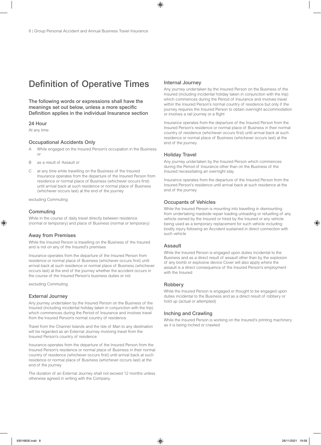## Definition of Operative Times

The following words or expressions shall have the meanings set out below, unless a more specific Definition applies in the individual Insurance section

#### 24 Hour

At any time

#### Occupational Accidents Only

- A While engaged on the Insured Person's occupation in the Business or
- B as a result of Assault or
- C at any time while travelling on the Business of the Insured Insurance operates from the departure of the Insured Person from residence or normal place of Business (whichever occurs first) until arrival back at such residence or normal place of Business (whichever occurs last) at the end of the journey

excluding Commuting

#### **Commuting**

While in the course of daily travel directly between residence (normal or temporary) and place of Business (normal or temporary)

### Away from Premises

While the Insured Person is travelling on the Business of the Insured and is not on any of the Insured's premises

Insurance operates from the departure of the Insured Person from residence or normal place of Business (whichever occurs first) until arrival back at such residence or normal place of Business (whichever occurs last) at the end of the journey whether the accident occurs in the course of the Insured Person's business duties or not

excluding Commuting

#### External Journey

Any journey undertaken by the Insured Person on the Business of the Insured (including incidental holiday taken in conjunction with the trip) which commences during the Period of Insurance and involves travel from the Insured Person's normal country of residence

Travel from the Channel Islands and the Isle of Man to any destination will be regarded as an External Journey involving travel from the Insured Person's country of residence

Insurance operates from the departure of the Insured Person from the Insured Person's residence or normal place of Business in their normal country of residence (whichever occurs first) until arrival back at such residence or normal place of Business (whichever occurs last) at the end of the journey

The duration of an External Journey shall not exceed 12 months unless otherwise agreed in writing with the Company

### Internal Journey

Any journey undertaken by the Insured Person on the Business of the Insured (including incidental holiday taken in conjunction with the trip) which commences during the Period of Insurance and involves travel within the Insured Person's normal country of residence but only if the journey requires the Insured Person to obtain overnight accommodation or involves a rail journey or a flight

Insurance operates from the departure of the Insured Person from the Insured Person's residence or normal place of Business in their normal country of residence (whichever occurs first) until arrival back at such residence or normal place of Business (whichever occurs last) at the end of the journey

#### Holiday Travel

Any journey undertaken by the Insured Person which commences during the Period of Insurance other than on the Business of the Insured necessitating an overnight stay

Insurance operates from the departure of the Insured Person from the Insured Person's residence until arrival back at such residence at the end of the journey

#### Occupants of Vehicles

While the Insured Person is mounting into travelling in dismounting from undertaking roadside repair loading unloading or refuelling of any vehicle owned by the Insured or hired by the Insured or any vehicle being used as a temporary replacement for such vehicle including bodily injury following an Accident sustained in direct connection with such vehicle

### Assault

While the Insured Person is engaged upon duties incidental to the Business and as a direct result of assault other than by the explosion of any bomb or explosive device Cover will also apply where the assault is a direct consequence of the Insured Person's employment with the Insured

### **Robbery**

While the Insured Person is engaged or thought to be engaged upon duties incidental to the Business and as a direct result of robbery or hold up (actual or attempted)

#### Inching and Crawling

While the Insured Person is working on the Insured's printing machinery as it is being inched or crawled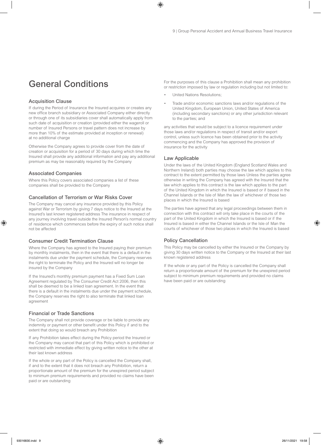## General Conditions

### Acquisition Clause

If during the Period of Insurance the Insured acquires or creates any new office branch subsidiary or Associated Company either directly or through one of its subsidiaries cover shall automatically apply from such date of acquisition or creation (provided either the wageroll or number of Insured Persons or travel pattern does not increase by more than 10% of the estimate provided at inception or renewal) at no additional charge

Otherwise the Company agrees to provide cover from the date of creation or acquisition for a period of 30 days during which time the Insured shall provide any additional information and pay any additional premium as may be reasonably required by the Company

### Associated Companies

Where this Policy covers associated companies a list of these companies shall be provided to the Company

### Cancellation of Terrorism or War Risks Cover

The Company may cancel any insurance provided by this Policy against War or Terrorism by giving 7 days notice to the Insured at the Insured's last known registered address The insurance in respect of any journey involving travel outside the Insured Person's normal country of residence which commences before the expiry of such notice shall not be affected

### Consumer Credit Termination Clause

Where the Company has agreed to the Insured paying their premium by monthly instalments, then in the event that there is a default in the instalments due under the payment schedule, the Company reserves the right to terminate the Policy and the Insured will no longer be insured by the Company

If the Insured's monthly premium payment has a Fixed Sum Loan Agreement regulated by The Consumer Credit Act 2006, then this shall be deemed to be a linked loan agreement. In the event that there is a default in the instalments due under the payment schedule, the Company reserves the right to also terminate that linked loan agreement

#### Financial or Trade Sanctions

The Company shall not provide coverage or be liable to provide any indemnity or payment or other benefit under this Policy if and to the extent that doing so would breach any Prohibition

If any Prohibition takes effect during the Policy period the Insured or the Company may cancel that part of this Policy which is prohibited or restricted with immediate effect by giving written notice to the other at their last known address

If the whole or any part of the Policy is cancelled the Company shall, if and to the extent that it does not breach any Prohibition, return a proportionate amount of the premium for the unexpired period subject to minimum premium requirements and provided no claims have been paid or are outstanding

For the purposes of this clause a Prohibition shall mean any prohibition or restriction imposed by law or regulation including but not limited to:

- United Nations Resolutions;
- Trade and/or economic sanctions laws and/or regulations of the United Kingdom, European Union, United States of America (including secondary sanctions) or any other jurisdiction relevant to the parties; and

any activities that would be subject to a licence requirement under those laws and/or regulations in respect of transit and/or export control, unless such licence has been obtained prior to the activity commencing and the Company has approved the provision of insurance for the activity

### Law Applicable

Under the laws of the United Kingdom (England Scotland Wales and Northern Ireland) both parties may choose the law which applies to this contract to the extent permitted by those laws Unless the parties agree otherwise in writing the Company has agreed with the Insured that the law which applies to this contract is the law which applies to the part of the United Kingdom in which the Insured is based or if based in the Channel Islands or the Isle of Man the law of whichever of those two places in which the Insured is based

The parties have agreed that any legal proceedings between them in connection with this contract will only take place in the courts of the part of the United Kingdom in which the Insured is based or if the Insured is based in either the Channel Islands or the Isle of Man the courts of whichever of those two places in which the Insured is based

### Policy Cancellation

This Policy may be cancelled by either the Insured or the Company by giving 30 days written notice to the Company or the Insured at their last known registered address

If the whole or any part of the Policy is cancelled the Company shall return a proportionate amount of the premium for the unexpired period subject to minimum premium requirements and provided no claims have been paid or are outstanding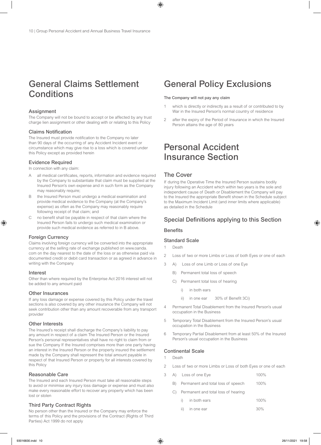## General Claims Settlement **Conditions**

### **Assignment**

The Company will not be bound to accept or be affected by any trust charge lien assignment or other dealing with or relating to this Policy

### Claims Notification

The Insured must provide notification to the Company no later than 90 days of the occurring of any Accident Incident event or circumstance which may give rise to a loss which is covered under this Policy except as provided herein

### Evidence Required

In connection with any claim:

- A all medical certificates, reports, information and evidence required by the Company to substantiate that claim must be supplied at the Insured Person's own expense and in such form as the Company may reasonably require;
- B the Insured Person must undergo a medical examination and provide medical evidence to the Company (at the Company's expense) as often as the Company may reasonably require following receipt of that claim; and
- C no benefit shall be payable in respect of that claim where the Insured Person fails to undergo such medical examination or provide such medical evidence as referred to in B above.

#### Foreign Currency

Claims involving foreign currency will be converted into the appropriate currency at the selling rate of exchange published on www.oanda. com on the day nearest to the date of the loss or as otherwise paid via documented credit or debit card transaction or as agreed in advance in writing with the Company

#### Interest

Other than where required by the Enterprise Act 2016 interest will not be added to any amount paid

#### Other Insurances

If any loss damage or expense covered by this Policy under the travel sections is also covered by any other insurance the Company will not seek contribution other than any amount recoverable from any transport provider

### Other Interests

The Insured's receipt shall discharge the Company's liability to pay any amount in respect of a claim The Insured Person or the Insured Person's personal representatives shall have no right to claim from or sue the Company If the Insured comprises more than one party having an interest in the Insured Person or the property insured the settlement made by the Company shall represent the total amount payable in respect of that Insured Person or property for all interests covered by this Policy

### Reasonable Care

The Insured and each Insured Person must take all reasonable steps to avoid or minimise any injury loss damage or expense and must also make every reasonable effort to recover any property which has been lost or stolen

### Third Party Contract Rights

No person other than the Insured or the Company may enforce the terms of this Policy and the provisions of the Contract (Rights of Third Parties) Act 1999 do not apply

## General Policy Exclusions

#### The Company will not pay any claim

- 1 which is directly or indirectly as a result of or contributed to by War in the Insured Person's normal country of residence
- 2 after the expiry of the Period of Insurance in which the Insured Person attains the age of 80 years

## Personal Accident Insurance Section

### The Cover

If during the Operative Time the Insured Person sustains bodily injury following an Accident which within two years is the sole and independent cause of Death or Disablement the Company will pay to the Insured the appropriate Benefit shown in the Schedule subject to the Maximum Incident Limit (and inner limits where applicable) as detailed in the Schedule

### Special Definitions applying to this Section

### **Benefits**

### Standard Scale

1 Death

- 2 Loss of two or more Limbs or Loss of both Eyes or one of each
- 3 A) Loss of one Limb or Loss of one Eye
	- B) Permanent total loss of speech
	- C) Permanent total loss of hearing
		- in both ears
		- ii) in one ear 30% of Benefit 3Ci)
- 4 Permanent Total Disablement from the Insured Person's usual occupation in the Business
- 5 Temporary Total Disablement from the Insured Person's usual occupation in the Business
- 6 Temporary Partial Disablement from at least 50% of the Insured Person's usual occupation in the Business

### Continental Scale

- 1 Death
- 2 Loss of two or more Limbs or Loss of both Eyes or one of each
- 3 A) Loss of one Eye 100%
	- B) Permanent and total loss of speech 100%
	- C) Permanent and total loss of hearing
		- i) in both ears 100%
		- ii) in one ear 30%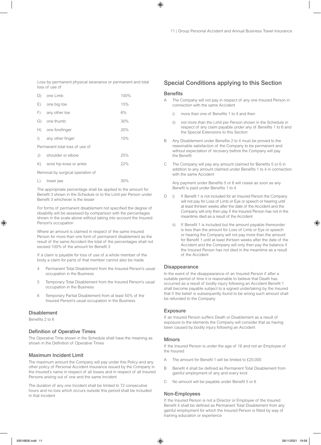Loss by permanent physical severance or permanent and total loss of use of

| D)                               | one Limb                | 100% |
|----------------------------------|-------------------------|------|
| E)                               | one big toe             | 15%  |
| F)                               | any other toe           | 6%   |
| G)                               | one thumb               | 30%  |
|                                  | H) one forefinger       | 20%  |
| $\left  \ \right\rangle$         | any other finger        | 10%  |
| Permanent total loss of use of   |                         |      |
|                                  | J) shoulder or elbow    | 25%  |
| K)                               | wrist hip knee or ankle | 22%  |
| Removal by surgical operation of |                         |      |
| L)                               | lower jaw               | 30%  |

The appropriate percentage shall be applied to the amount for Benefit 3 shown in the Schedule or to the Limit per Person under Benefit 3 whichever is the lesser

For forms of permanent disablement not specified the degree of disability will be assessed by comparison with the percentages shown in the scale above without taking into account the Insured Person's occupation

Where an amount is claimed in respect of the same Insured Person for more than one form of permanent disablement as the result of the same Accident the total of the percentages shall not exceed 100% of the amount for Benefit 3

If a claim is payable for loss of use of a whole member of the body a claim for parts of that member cannot also be made

- 4 Permanent Total Disablement from the Insured Person's usual occupation in the Business
- 5 Temporary Total Disablement from the Insured Person's usual occupation in the Business
- 6 Temporary Partial Disablement from at least 50% of the Insured Person's usual occupation in the Business

### **Disablement**

Benefits 2 to 6

### Definition of Operative Times

The Operative Time shown in the Schedule shall have the meaning as shown in the Definition of Operative Times

#### Maximum Incident Limit

The maximum amount the Company will pay under this Policy and any other policy of Personal Accident Insurance issued by the Company in the Insured's name in respect of all losses and in respect of all Insured Persons arising out of one and the same Incident

The duration of any one Incident shall be limited to 72 consecutive hours and no loss which occurs outside this period shall be included in that Incident

### Special Conditions applying to this Section

### **Benefits**

- A The Company will not pay in respect of any one Insured Person in connection with the same Accident
	- i) more than one of Benefits 1 to 4 and then
	- ii) not more than the Limit per Person shown in the Schedule in respect of any claim payable under any of Benefits 1 to 6 and the Special Extensions to this Section
- B Any Disablement under Benefits 2 to 4 must be proved to the reasonable satisfaction of the Company to be permanent and without expectation of recovery before the Company will pay the Benefit
- C The Company will pay any amount claimed for Benefits 5 or 6 in addition to any amount claimed under Benefits 1 to 4 in connection with the same Accident

 Any payment under Benefits 5 or 6 will cease as soon as any Benefit is paid under Benefits 1 to 4

- D i) If Benefit 1 is not included for an Insured Person the Company will not pay for Loss of Limb or Eye or speech or hearing until at least thirteen weeks after the date of the Accident and the Company will only then pay if the Insured Person has not in the meantime died as a result of the Accident
	- If Benefit 1 is included but the amount payable thereunder is less than the amount for Loss of Limb or Eye or speech or hearing the Company will not pay more than the amount for Benefit 1 until at least thirteen weeks after the date of the Accident and the Company will only then pay the balance if the Insured Person has not died in the meantime as a result of the Accident

### Disappearance

In the event of the disappearance of an Insured Person if after a suitable period of time it is reasonable to believe that Death has occurred as a result of bodily injury following an Accident Benefit 1 shall become payable subject to a signed undertaking by the Insured that if the belief is subsequently found to be wrong such amount shall be refunded to the Company

#### Exposure

If an Insured Person suffers Death or Disablement as a result of exposure to the elements the Company will consider that as having been caused by bodily injury following an Accident

#### Minors

If the Insured Person is under the age of 16 and not an Employee of the Insured

- A The amount for Benefit 1 will be limited to £20,000
- B Benefit 4 shall be defined as Permanent Total Disablement from gainful employment of any and every kind
- C No amount will be payable under Benefit 5 or 6

#### Non-Employees

If the Insured Person is not a Director or Employee of the Insured Benefit 4 shall be defined as Permanent Total Disablement from any gainful employment for which the Insured Person is fitted by way of training education or experience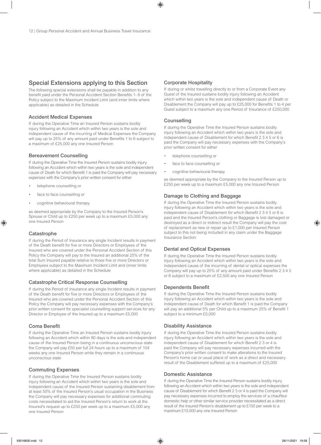### Special Extensions applying to this Section

The following special extensions shall be payable in addition to any benefit paid under the Personal Accident Section Benefits 1- 6 of the Policy subject to the Maximum Incident Limit (and inner limits where applicable) as detailed in the Schedule

### Accident Medical Expenses

If during the Operative Time an Insured Person sustains bodily injury following an Accident which within two years is the sole and independent cause of the incurring of Medical Expenses the Company will pay up to 25% of any amount paid under Benefits 1 to 6 subject to a maximum of £25,000 any one Insured Person

### Bereavement Counselling

If during the Operative Time the Insured Person sustains bodily injury following an Accident which within two years is the sole and independent cause of Death for which Benefit 1 is paid the Company will pay necessary expenses with the Company's prior written consent for either

- telephone counselling or
- face to face counselling or
- cognitive behavioural therapy

as deemed appropriate by the Company to the Insured Person's Spouse or Child up to £250 per week up to a maximum £5,000 any one Insured Person

### **Catastrophe**

If during the Period of Insurance any single Incident results in payment of the Death benefit for five or more Directors or Employees of the Insured who are covered under the Personal Accident Section of this Policy the Company will pay to the Insured an additional 25% of the total Sum Insured payable relative to those five or more Directors or Employees subject to the Maximum Incident Limit and (inner limits where applicable) as detailed in the Schedule

### Catastrophe Critical Response Counselling

If during the Period of Insurance any single Incident results in payment of the Death benefit for five or more Directors or Employees of the Insured who are covered under the Personal Accident Section of this Policy the Company will pay necessary expenses with the Company's prior written consent for specialist counselling support services for any Director or Employee of the Insured up to a maximum £5,000

### Coma Benefit

If during the Operative Time an Insured Person sustains bodily injury following an Accident which within 90 days is the sole and independent cause of the Insured Person being in a continuous unconscious state the Company will pay £50 per full 24 hours up to a maximum of 104 weeks any one Insured Person while they remain in a continuous unconscious state

### Commuting Expenses

If during the Operative Time the Insured Person sustains bodily injury following an Accident which within two years is the sole and independent cause of the Insured Person sustaining disablement from at least 50% of the Insured Person's usual occupation in the Business the Company will pay necessary expenses for additional commuting costs necessitated to aid the Insured Person's return to work at the Insured's request up to £250 per week up to a maximum £5,000 any one Insured Person

### Corporate Hospitality

If during or whilst travelling directly to or from a Corporate Event any Guest of the Insured sustains bodily injury following an Accident which within two years is the sole and independent cause of Death or Disablement the Company will pay up to £25,000 for Benefits 1 to 4 per Guest subject to a maximum any one Period of Insurance of £250,000

### **Counselling**

If during the Operative Time the Insured Person sustains bodily injury following an Accident which within two years is the sole and independent cause of Disablement for which Benefit 2 3 4 5 or 6 is paid the Company will pay necessary expenses with the Company's prior written consent for either

- telephone counselling or
- face to face counselling or
- cognitive behavioural therapy

as deemed appropriate by the Company to the Insured Person up to £250 per week up to a maximum £5,000 any one Insured Person

### Damage to Clothing and Baggage

If during the Operative Time the Insured Person sustains bodily injury following an Accident which within two years is the sole and independent cause of Disablement for which Benefit 2 3 4 5 or 6 is paid and the Insured Person's clothing or Baggage is lost damaged or destroyed as a direct or indirect result the Company will pay the cost of replacement as new or repair up to £1,000 per Insured Person subject to this not being included in any claim under the Baggage Insurance Section

### Dental and Optical Expenses

If during the Operative Time the Insured Person sustains bodily injury following an Accident which within two years is the sole and independent cause of the incurring of dental or optical expenses the Company will pay up to 25% of any amount paid under Benefits 2 3 4 5 or 6 subject to a maximum of £2,500 any one Insured Person

### Dependents Benefit

If during the Operative Time the Insured Person sustains bodily injury following an Accident which within two years is the sole and independent cause of Death for which Benefit 1 is paid the Company will pay an additional 5% per Child up to a maximum 25% of Benefit 1 subject to a minimum £5,000

### Disability Assistance

If during the Operative Time the Insured Person sustains bodily injury following an Accident which within two years is the sole and independent cause of Disablement for which Benefit 2 3 or 4 is paid the Company will pay necessary expenses incurred with the Company's prior written consent to make alterations to the Insured Person's home car or usual place of work as a direct and necessary result of the Disablement suffered up to a maximum of £25,000

### Domestic Assistance

If during the Operative Time the Insured Person sustains bodily injury following an Accident which within two years is the sole and independent cause of Disablement for which Benefit 2 3 or 4 is paid the Company will pay necessary expenses incurred to employ the services of a chauffeur domestic help or other similar service provider necessitated as a direct result of the Insured Person's disablement up to £100 per week to a maximum £10,000 any one Insured Person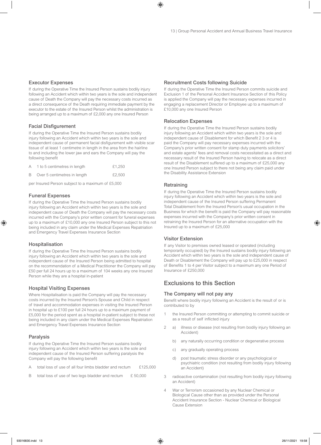### Executor Expenses

If during the Operative Time the Insured Person sustains bodily injury following an Accident which within two years is the sole and independent cause of Death the Company will pay the necessary costs incurred as a direct consequence of the Death requiring immediate payment by the executor to the estate of the Insured Person whilst the administration is being arranged up to a maximum of £2,000 any one Insured Person

### Facial Disfigurement

If during the Operative Time the Insured Person sustains bodily injury following an Accident which within two years is the sole and independent cause of permanent facial disfigurement with visible scar tissue of at least 1 centimetre in length in the area from the hairline to and including the lower jaw and ears the Company will pay the following benefit

|   | A 1 to 5 centimetres in length | £1.250 |
|---|--------------------------------|--------|
| B | Over 5 centimetres in length   | £2.500 |

per Insured Person subject to a maximum of £5,000

### Funeral Expenses

If during the Operative Time the Insured Person sustains bodily injury following an Accident which within two years is the sole and independent cause of Death the Company will pay the necessary costs incurred with the Company's prior written consent for funeral expenses up to a maximum of £10,000 any one Insured Person subject to this not being included in any claim under the Medical Expenses Repatriation and Emergency Travel Expenses Insurance Section

#### Hospitalisation

If during the Operative Time the Insured Person sustains bodily injury following an Accident which within two years is the sole and independent cause of the Insured Person being admitted to hospital on the recommendation of a Medical Practitioner the Company will pay £50 per full 24 hours up to a maximum of 104 weeks any one Insured Person while they are a hospital in-patient

### Hospital Visiting Expenses

Where Hospitalisation is paid the Company will pay the necessary costs incurred by the Insured Person's Spouse and Child in respect of travel and accommodation expenses in visiting the Insured Person in hospital up to £100 per full 24 hours up to a maximum payment of £5,000 for the period spent as a hospital in-patient subject to these not being included in any claim under the Medical Expenses Repatriation and Emergency Travel Expenses Insurance Section

#### Paralysis

If during the Operative Time the Insured Person sustains bodily injury following an Accident which within two years is the sole and independent cause of the Insured Person suffering paralysis the Company will pay the following benefit

- A total loss of use of all four limbs bladder and rectum £125,000
- B total loss of use of two legs bladder and rectum £ 50,000

### Recruitment Costs following Suicide

If during the Operative Time the Insured Person commits suicide and Exclusion 1 of the Personal Accident Insurance Section of this Policy is applied the Company will pay the necessary expenses incurred in engaging a replacement Director or Employee up to a maximum of £10,000 any one Insured Person

### Relocation Expenses

If during the Operative Time the Insured Person sustains bodily injury following an Accident which within two years is the sole and independent cause of Disablement for which Benefit 2 3 or 4 is paid the Company will pay necessary expenses incurred with the Company's prior written consent for stamp duty payments solicitors' and estate agents' fees and removal costs necessitated as a direct and necessary result of the Insured Person having to relocate as a direct result of the Disablement suffered up to a maximum of £25,000 any one Insured Person subject to there not being any claim paid under the Disability Assistance Extension

#### **Retraining**

If during the Operative Time the Insured Person sustains bodily injury following an Accident which within two years is the sole and independent cause of the Insured Person suffering Permanent Total Disablement from the Insured Person's usual occupation in the Business for which the benefit is paid the Company will pay reasonable expenses incurred with the Company's prior written consent in retraining the Insured Person for an alternative occupation with the Insured up to a maximum of £25,000

### Visitor Extension

If any Visitor to premises owned leased or operated (including temporarily occupied) by the Insured sustains bodily injury following an Accident which within two years is the sole and independent cause of Death or Disablement the Company will pay up to £25,000 in respect of Benefits 1 to 4 per Visitor subject to a maximum any one Period of Insurance of £250,000

### Exclusions to this Section

#### The Company will not pay any

Benefit where bodily injury following an Accident is the result of or is contributed to by

- the Insured Person committing or attempting to commit suicide or as a result of self inflicted injury
- 2 a) illness or disease (not resulting from bodily injury following an Accident)
	- b) any naturally occurring condition or degenerative process
	- c) any gradually operating process
	- d) post traumatic stress disorder or any psychological or psychiatric condition (not resulting from bodily injury following an Accident)
- 3 radioactive contamination (not resulting from bodily injury following an Accident)
- 4 War or Terrorism occasioned by any Nuclear Chemical or Biological Cause other than as provided under the Personal Accident Insurance Section - Nuclear Chemical or Biological Cause Extension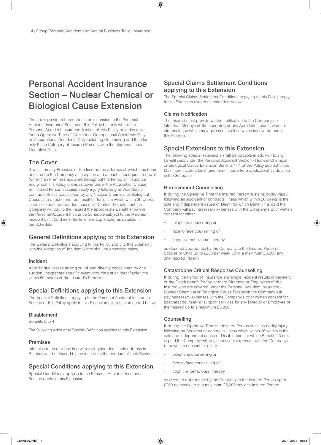## Personal Accident Insurance Section – Nuclear Chemical or Biological Cause Extension

The cover provided hereunder is an extension to the Personal Accident Insurance Section of this Policy but only where the Personal Accident Insurance Section of this Policy provides cover for an Operative Time of 24 Hour or Occupational Accidents Only or Occupational Accidents Only including Commuting and then for only those Category of Insured Persons with the aforementioned Operative Time

### The Cover

If whilst on any Premises of the Insured the address of which has been declared to the Company at inception and at each subsequent renewal (other than Premises acquired throughout the Period of Insurance and which this Policy provides cover under the Acquisition Clause) an Insured Person sustains bodily injury following an Accident or contracts illness occasioned by any Nuclear Chemical or Biological Cause as a direct or indirect result of Terrorism which within 26 weeks is the sole and independent cause of Death or Disablement the Company will pay to the Insured the appropriate Benefit shown in the Personal Accident Insurance Schedule subject to the Maximum Incident Limit (and inner limits where applicable) as detailed in the Schedule

### General Definitions applying to this Extension

The General Definitions applying to this Policy apply to this Extension with the exception of Incident which shall be amended below

### Incident

All individual losses arising out of and directly occasioned by one sudden unexpected specific event occurring at an identifiable time within 50 metres of the Insured's Premises

### Special Definitions applying to this Extension

The Special Definitions applying to the Personal Accident Insurance Section of this Policy apply to this Extension except as amended below

### Disablement

Benefits 2 to 4

The following additional Special Definition applies to this Extension

### Premises

Interior portion of a building with a singular identifiable address in Britain owned or leased by the Insured in the conduct of their Business

### Special Conditions applying to this Extension

Special Conditions applying to the Personal Accident Insurance Section apply to this Extension

### Special Claims Settlement Conditions applying to this Extension

The Special Claims Settlement Conditions applying to this Policy apply to this Extension except as amended below

### Claims Notification

The Insured must provide written notification to the Company no later than 35 days of the occurring of any Accident Incident event or circumstance which may give rise to a loss which is covered under this Extension

### Special Extensions to this Extension

The following special extensions shall be payable in addition to any benefit paid under the Personal Accident Section - Nuclear Chemical or Biological Cause Extension Benefits 1- 4 of the Policy subject to the Maximum Incident Limit (and inner limits where applicable) as detailed in the Schedule

### Bereavement Counselling

If during the Operative Time the Insured Person sustains bodily injury following an Accident or contracts illness which within 26 weeks is the sole and independent cause of Death for which Benefit 1 is paid the Company will pay necessary expenses with the Company's prior written consent for either

- telephone counselling or
- face to face counselling or
- cognitive behavioural therapy

as deemed appropriate by the Company to the Insured Person's Spouse or Child up to £250 per week up to a maximum £5,000 any one Insured Person

### Catastrophe Critical Response Counselling

If during the Period of Insurance any single Incident results in payment of the Death benefit for five or more Directors or Employees of the Insured who are covered under the Personal Accident Insurance – Nuclear Chemical or Biological Cause Extension the Company will pay necessary expenses with the Company's prior written consent for specialist counselling support services for any Director or Employee of the Insured up to a maximum £5,000

### **Counselling**

If during the Operative Time the Insured Person sustains bodily injury following an Accident or contracts illness which within 26 weeks is the sole and independent cause of Disablement for which Benefit 2 3 or 4 is paid the Company will pay necessary expenses with the Company's prior written consent for either

- telephone counselling or
- face to face counselling or
- cognitive behavioural therapy

as deemed appropriate by the Company to the Insured Person up to £250 per week up to a maximum £5,000 any one Insured Person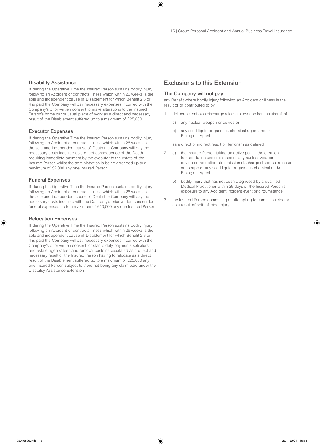### Disability Assistance

If during the Operative Time the Insured Person sustains bodily injury following an Accident or contracts illness which within 26 weeks is the sole and independent cause of Disablement for which Benefit 2 3 or 4 is paid the Company will pay necessary expenses incurred with the Company's prior written consent to make alterations to the Insured Person's home car or usual place of work as a direct and necessary result of the Disablement suffered up to a maximum of £25,000

### Executor Expenses

If during the Operative Time the Insured Person sustains bodily injury following an Accident or contracts illness which within 26 weeks is the sole and independent cause of Death the Company will pay the necessary costs incurred as a direct consequence of the Death requiring immediate payment by the executor to the estate of the Insured Person whilst the administration is being arranged up to a maximum of £2,000 any one Insured Person

### Funeral Expenses

If during the Operative Time the Insured Person sustains bodily injury following an Accident or contracts illness which within 26 weeks is the sole and independent cause of Death the Company will pay the necessary costs incurred with the Company's prior written consent for funeral expenses up to a maximum of £10,000 any one Insured Person

### Relocation Expenses

If during the Operative Time the Insured Person sustains bodily injury following an Accident or contracts illness which within 26 weeks is the sole and independent cause of Disablement for which Benefit 2 3 or 4 is paid the Company will pay necessary expenses incurred with the Company's prior written consent for stamp duty payments solicitors' and estate agents' fees and removal costs necessitated as a direct and necessary result of the Insured Person having to relocate as a direct result of the Disablement suffered up to a maximum of £25,000 any one Insured Person subject to there not being any claim paid under the Disability Assistance Extension

### Exclusions to this Extension

### The Company will not pay

any Benefit where bodily injury following an Accident or illness is the result of or contributed to by

- deliberate emission discharge release or escape from an aircraft of
	- a) any nuclear weapon or device or
	- b) any solid liquid or gaseous chemical agent and/or Biological Agent
	- as a direct or indirect result of Terrorism as defined
- 2 a) the Insured Person taking an active part in the creation transportation use or release of any nuclear weapon or device or the deliberate emission discharge dispersal release or escape of any solid liquid or gaseous chemical and/or Biological Agent
	- b) bodily injury that has not been diagnosed by a qualified Medical Practitioner within 28 days of the Insured Person's exposure to any Accident Incident event or circumstance
- 3 the Insured Person committing or attempting to commit suicide or as a result of self inflicted injury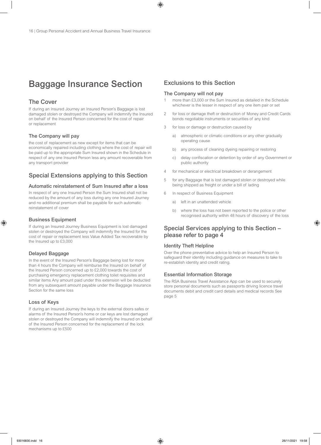## Baggage Insurance Section

### The Cover

If during an Insured Journey an Insured Person's Baggage is lost damaged stolen or destroyed the Company will indemnify the Insured on behalf of the Insured Person concerned for the cost of repair or replacement

### The Company will pay

the cost of replacement as new except for items that can be economically repaired including clothing where the cost of repair will be paid up to the appropriate Sum Insured shown in the Schedule in respect of any one Insured Person less any amount recoverable from any transport provider

### Special Extensions applying to this Section

### Automatic reinstatement of Sum Insured after a loss

In respect of any one Insured Person the Sum Insured shall not be reduced by the amount of any loss during any one Insured Journey and no additional premium shall be payable for such automatic reinstatement of cover

### Business Equipment

If during an Insured Journey Business Equipment is lost damaged stolen or destroyed the Company will indemnify the Insured for the cost of repair or replacement less Value Added Tax recoverable by the Insured up to £3,000

### Delayed Baggage

In the event of the Insured Person's Baggage being lost for more than 4 hours the Company will reimburse the Insured on behalf of the Insured Person concerned up to £2,000 towards the cost of purchasing emergency replacement clothing toilet requisites and similar items Any amount paid under this extension will be deducted from any subsequent amount payable under the Baggage Insurance Section for the same loss

### Loss of Keys

If during an Insured Journey the keys to the external doors safes or alarms of the Insured Person's home or car keys are lost damaged stolen or destroyed the Company will indemnify the Insured on behalf of the Insured Person concerned for the replacement of the lock mechanisms up to £500

### Exclusions to this Section

### The Company will not pay

- more than £3,000 or the Sum Insured as detailed in the Schedule whichever is the lesser in respect of any one item pair or set
- 2 for loss or damage theft or destruction of Money and Credit Cards bonds negotiable instruments or securities of any kind
- 3 for loss or damage or destruction caused by
	- a) atmospheric or climatic conditions or any other gradually operating cause
	- b) any process of cleaning dyeing repairing or restoring
	- c) delay confiscation or detention by order of any Government or public authority
- 4 for mechanical or electrical breakdown or derangement
- 5 for any Baggage that is lost damaged stolen or destroyed while being shipped as freight or under a bill of lading
- 6 In respect of Business Equipment
	- a) left in an unattended vehicle
	- b) where the loss has not been reported to the police or other recognised authority within 48 hours of discovery of the loss

### Special Services applying to this Section – please refer to page 4

#### Identity Theft Helpline

Over the phone preventative advice to help an Insured Person to safeguard their identity including guidance on measures to take to re-establish identity and credit rating.

### Essential Information Storage

The RSA Business Travel Assistance App can be used to securely store personal documents such as passports driving licence travel documents debit and credit card details and medical records See page 5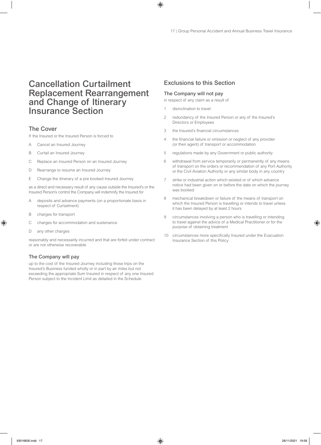## Cancellation Curtailment Replacement Rearrangement and Change of Itinerary Insurance Section

### The Cover

If the Insured or the Insured Person is forced to

- A Cancel an Insured Journey
- B Curtail an Insured Journey
- C Replace an Insured Person on an Insured Journey
- D Rearrange to resume an Insured Journey
- E Change the itinerary of a pre booked Insured Journey

as a direct and necessary result of any cause outside the Insured's or the Insured Person's control the Company will indemnify the Insured for

- A deposits and advance payments (on a proportionate basis in respect of Curtailment)
- B charges for transport
- C charges for accommodation and sustenance
- D any other charges

reasonably and necessarily incurred and that are forfeit under contract or are not otherwise recoverable

### The Company will pay

up to the cost of the Insured Journey including those trips on the Insured's Business funded wholly or in part by air miles but not exceeding the appropriate Sum Insured in respect of any one Insured Person subject to the Incident Limit as detailed in the Schedule

### Exclusions to this Section

### The Company will not pay

in respect of any claim as a result of

- 1 disinclination to travel
- 2 redundancy of the Insured Person or any of the Insured's Directors or Employees
- 3 the Insured's financial circumstances
- 4 the financial failure or omission or neglect of any provider (or their agent) of transport or accommodation
- 5 regulations made by any Government or public authority
- 6 withdrawal from service temporarily or permanently of any means of transport on the orders or recommendation of any Port Authority or the Civil Aviation Authority or any similar body in any country
- 7 strike or industrial action which existed or of which advance notice had been given on or before the date on which the journey was booked
- 8 mechanical breakdown or failure of the means of transport on which the Insured Person is travelling or intends to travel unless it has been delayed by at least 2 hours
- 9 circumstances involving a person who is travelling or intending to travel against the advice of a Medical Practitioner or for the purpose of obtaining treatment
- 10 circumstances more specifically Insured under the Evacuation Insurance Section of this Policy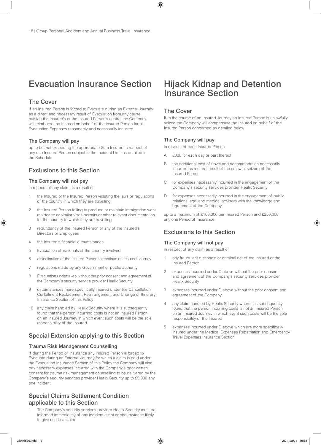## Evacuation Insurance Section

### The Cover

If an Insured Person is forced to Evacuate during an External Journey as a direct and necessary result of Evacuation from any cause outside the Insured's or the Insured Person's control the Company will reimburse the Insured on behalf of the Insured Person for all Evacuation Expenses reasonably and necessarily incurred.

### The Company will pay

up to but not exceeding the appropriate Sum Insured in respect of any one Insured Person subject to the Incident Limit as detailed in the Schedule

### Exclusions to this Section

### The Company will not pay

in respect of any claim as a result of

- 1 the Insured or the Insured Person violating the laws or regulations of the country in which they are travelling
- 2 the Insured Person failing to produce or maintain immigration work residence or similar visas permits or other relevant documentation for the country to which they are travelling
- 3 redundancy of the Insured Person or any of the Insured's Directors or Employees
- 4 the Insured's financial circumstances
- 5 Evacuation of nationals of the country involved
- 6 disinclination of the Insured Person to continue an Insured Journey
- 7 regulations made by any Government or public authority
- 8 Evacuation undertaken without the prior consent and agreement of the Company's security service provider Healix Security
- 9 circumstances more specifically insured under the Cancellation Curtailment Replacement Rearrangement and Change of Itinerary Insurance Section of this Policy
- any claim handled by Healix Security where it is subsequently found that the person incurring costs is not an Insured Person on an Insured Journey in which event such costs will be the sole responsibility of the Insured

### Special Extension applying to this Section

### Trauma Risk Management Counselling

If during the Period of Insurance any Insured Person is forced to Evacuate during an External Journey for which a claim is paid under the Evacuation Insurance Section of this Policy the Company will also pay necessary expenses incurred with the Company's prior written consent for trauma risk management counselling to be delivered by the Company's security services provider Healix Security up to £5,000 any one incident

### Special Claims Settlement Condition applicable to this Section

The Company's security services provider Healix Security must be informed immediately of any incident event or circumstance likely to give rise to a claim

## Hijack Kidnap and Detention Insurance Section

### The Cover

If in the course of an Insured Journey an Insured Person is unlawfully seized the Company will compensate the Insured on behalf of the Insured Person concerned as detailed below

### The Company will pay

in respect of each Insured Person

- A £300 for each day or part thereof
- B the additional cost of travel and accommodation necessarily incurred as a direct result of the unlawful seizure of the Insured Person
- C for expenses necessarily incurred in the engagement of the Company's security services provider Healix Security
- D for expenses necessarily incurred in the engagement of public relations legal and medical advisers with the knowledge and agreement of the Company

up to a maximum of £100,000 per Insured Person and £250,000 any one Period of Insurance

### Exclusions to this Section

### The Company will not pay

in respect of any claim as a result of

- 1 any fraudulent dishonest or criminal act of the Insured or the Insured Person
- 2 expenses incurred under C above without the prior consent and agreement of the Company's security services provider Healix Security
- 3 expenses incurred under D above without the prior consent and agreement of the Company
- 4 any claim handled by Healix Security where it is subsequently found that the person incurring costs is not an Insured Person on an Insured Journey in which event such costs will be the sole responsibility of the Insured
- 5 expenses incurred under D above which are more specifically insured under the Medical Expenses Repatriation and Emergency Travel Expenses Insurance Section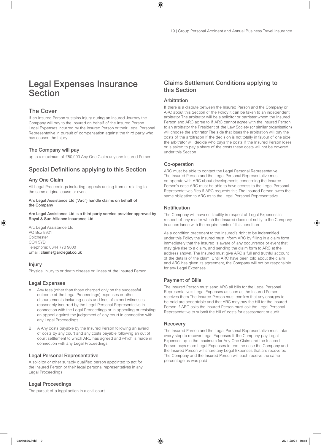## Legal Expenses Insurance **Section**

### The Cover

If an Insured Person sustains Injury during an Insured Journey the Company will pay to the Insured on behalf of the Insured Person Legal Expenses incurred by the Insured Person or their Legal Personal Representative in pursuit of compensation against the third party who has caused the Injury

### The Company will pay

up to a maximum of £50,000 Any One Claim any one Insured Person

### Special Definitions applying to this Section

### Any One Claim

All Legal Proceedings including appeals arising from or relating to the same original cause or event

#### Arc Legal Assistance Ltd ("Arc") handle claims on behalf of the Company

Arc Legal Assistance Ltd is a third party service provider approved by Royal & Sun Alliance Insurance Ltd

Arc Legal Assistance Ltd PO Box 8921 Colchester CO4 5YD Telephone: 0344 770 9000 Email: claims@arclegal.co.uk

### Injury

Physical injury to or death disease or illness of the Insured Person

### Legal Expenses

- Any fees (other than those charged only on the successful outcome of the Legal Proceedings) expenses or other disbursements including costs and fees of expert witnesses reasonably incurred by the Legal Personal Representative in connection with the Legal Proceedings or in appealing or resisting an appeal against the judgement of any court in connection with any Legal Proceedings
- B A Any costs payable by the Insured Person following an award of costs by any court and any costs payable following an out of court settlement to which ARC has agreed and which is made in connection with any Legal Proceedings

### Legal Personal Representative

A solicitor or other suitably qualified person appointed to act for the Insured Person or their legal personal representatives in any Legal Proceedings

### Legal Proceedings

The pursuit of a legal action in a civil court

### Claims Settlement Conditions applying to this Section

### Arbitration

If there is a dispute between the Insured Person and the Company or ARC about this Section of the Policy it can be taken to an independent arbitrator The arbitrator will be a solicitor or barrister whom the Insured Person and ARC agree to If ARC cannot agree with the Insured Person to an arbitrator the President of the Law Society (or similar organisation) will choose the arbitrator The side that loses the arbitration will pay the costs of the arbitration If the decision is not totally in favour of one side the arbitrator will decide who pays the costs If the Insured Person loses or is asked to pay a share of the costs these costs will not be covered under this Section

### Co-operation

ARC must be able to contact the Legal Personal Representative The Insured Person and the Legal Personal Representative must co-operate with ARC about developments concerning the Insured Person's case ARC must be able to have access to the Legal Personal Representatives files if ARC requests this The Insured Person owes the same obligation to ARC as to the Legal Personal Representative

### Notification

The Company will have no liability in respect of Legal Expenses in respect of any matter which the Insured does not notify to the Company in accordance with the requirements of this condition

As a condition precedent to the Insured's right to be indemnified under this Policy the Insured must inform ARC by filling in a claim form immediately that the Insured is aware of any occurrence or event that may give rise to a claim, and sending the claim form to ARC at the address shown. The Insured must give ARC a full and truthful account of the details of the claim. Until ARC have been told about the claim and ARC has given its agreement, the Company will not be responsible for any Legal Expenses

### Payment of Bills

The Insured Person must send ARC all bills for the Legal Personal Representative's Legal Expenses as soon as the Insured Person receives them The Insured Person must confirm that any charges to be paid are acceptable and that ARC may pay the bill for the Insured Person If ARC asks the Insured Person must ask the Legal Personal Representative to submit the bill of costs for assessment or audit

### **Recovery**

The Insured Person and the Legal Personal Representative must take every step to recover Legal Expenses If the Company pay Legal Expenses up to the maximum for Any One Claim and the Insured Person pays more Legal Expenses to end the case the Company and the Insured Person will share any Legal Expenses that are recovered The Company and the Insured Person will each receive the same percentage as was paid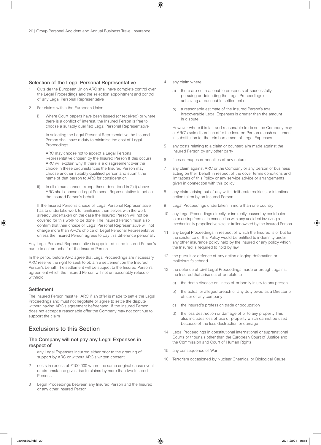### Selection of the Legal Personal Representative

- 1 Outside the European Union ARC shall have complete control over the Legal Proceedings and the selection appointment and control of any Legal Personal Representative
- 2 For claims within the European Union
	- i) Where Court papers have been issued (or received) or where there is a conflict of interest, the Insured Person is free to choose a suitably qualified Legal Personal Representative

 In selecting the Legal Personal Representative the Insured Person shall have a duty to minimise the cost of Legal Proceedings

 ARC may choose not to accept a Legal Personal Representative chosen by the Insured Person If this occurs ARC will explain why If there is a disagreement over the choice in these circumstances the Insured Person may choose another suitably qualified person and submit the name of that person to ARC for consideration

ii) In all circumstances except those described in 2) i) above ARC shall choose a Legal Personal Representative to act on the Insured Person's behalf

 If the Insured Person's choice of Legal Personal Representative has to undertake work to familiarise themselves with the work already undertaken on the case the Insured Person will not be covered for this work to be done. The Insured Person must also confirm that their choice of Legal Personal Representative will not charge more than ARC's choice of Legal Personal Representative unless the Insured Person agrees to pay this difference personally

Any Legal Personal Representative is appointed in the Insured Person's name to act on behalf of the Insured Person

In the period before ARC agree that Legal Proceedings are necessary ARC reserve the right to seek to obtain a settlement on the Insured Person's behalf. The settlement will be subject to the Insured Person's agreement which the Insured Person will not unreasonably refuse or withhold

#### **Settlement**

The Insured Person must tell ARC if an offer is made to settle the Legal Proceedings and must not negotiate or agree to settle the dispute without having ARC's agreement beforehand. If the Insured Person does not accept a reasonable offer the Company may not continue to support the claim

### Exclusions to this Section

### The Company will not pay any Legal Expenses in respect of

- 1 any Legal Expenses incurred either prior to the granting of support by ARC or without ARC's written consent
- costs in excess of £100,000 where the same original cause event or circumstance gives rise to claims by more than two Insured Persons
- 3 Legal Proceedings between any Insured Person and the Insured or any other Insured Person
- 4 any claim where
	- a) there are not reasonable prospects of successfully pursuing or defending the Legal Proceedings or achieving a reasonable settlement or
	- b) a reasonable estimate of the Insured Person's total irrecoverable Legal Expenses is greater than the amount in dispute

 However where it is fair and reasonable to do so the Company may at ARC's sole discretion offer the Insured Person a cash settlement in substitution for the reimbursement of Legal Expenses

- 5 any costs relating to a claim or counterclaim made against the Insured Person by any other party
- 6 fines damages or penalties of any nature
- 7 any claim against ARC or the Company or any person or business acting on their behalf in respect of the cover terms conditions and limitations of this Policy or any service advice or arrangements given in connection with this policy
- 8 any claim arising out of any wilful deliberate reckless or intentional action taken by an Insured Person
- 9 Legal Proceedings undertaken in more than one country
- 10 any Legal Proceedings directly or indirectly caused by contributed to or arising from or in connection with any accident involving a mechanically propelled vehicle or trailer owned by the Insured Person
- 11 any Legal Proceedings in respect of which the Insured is or but for the existence of this Policy would be entitled to indemnity under any other insurance policy held by the Insured or any policy which the Insured is required to hold by law
- 12 the pursuit or defence of any action alleging defamation or malicious falsehood
- 13 the defence of civil Legal Proceedings made or brought against the Insured that arise out of or relate to
	- a) the death disease or illness of or bodily injury to any person
	- b) the actual or alleged breach of any duty owed as a Director or officer of any company
	- c) the Insured's profession trade or occupation
	- d) the loss destruction or damage of or to any property This also includes loss of use of property which cannot be used because of the loss destruction or damage
- 14 Legal Proceedings in constitutional international or supranational Courts or tribunals other than the European Court of Justice and the Commission and Court of Human Rights
- 15 any consequence of War
- 16 Terrorism occasioned by Nuclear Chemical or Biological Cause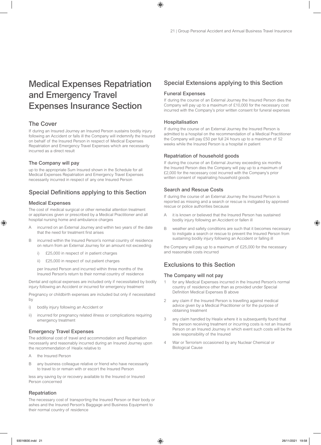## Medical Expenses Repatriation and Emergency Travel Expenses Insurance Section

### The Cover

If during an Insured Journey an Insured Person sustains bodily injury following an Accident or falls ill the Company will indemnify the Insured on behalf of the Insured Person in respect of Medical Expenses Repatriation and Emergency Travel Expenses which are necessarily incurred as a direct result

### The Company will pay

up to the appropriate Sum Insured shown in the Schedule for all Medical Expenses Repatriation and Emergency Travel Expenses necessarily incurred in respect of any one Insured Person

### Special Definitions applying to this Section

### Medical Expenses

The cost of medical surgical or other remedial attention treatment or appliances given or prescribed by a Medical Practitioner and all hospital nursing home and ambulance charges

- A incurred on an External Journey and within two years of the date that the need for treatment first arises
- B incurred within the Insured Person's normal country of residence on return from an External Journey for an amount not exceeding
	- i) £25,000 in respect of in patient charges
	- ii) £25,000 in respect of out patient charges

 per Insured Person and incurred within three months of the Insured Person's return to their normal country of residence

Dental and optical expenses are included only if necessitated by bodily injury following an Accident or incurred for emergency treatment

Pregnancy or childbirth expenses are included but only if necessitated by

- i) bodily injury following an Accident or
- ii) incurred for pregnancy related illness or complications requiring emergency treatment

### Emergency Travel Expenses

The additional cost of travel and accommodation and Repatriation necessarily and reasonably incurred during an Insured Journey upon the recommendation of Healix relative to

- A the Insured Person
- B any business colleague relative or friend who have necessarily to travel to or remain with or escort the Insured Person

less any saving by or recovery available to the Insured or Insured Person concerned

### Repatriation

The necessary cost of transporting the Insured Person or their body or ashes and the Insured Person's Baggage and Business Equipment to their normal country of residence

### Special Extensions applying to this Section

### Funeral Expenses

If during the course of an External Journey the Insured Person dies the Company will pay up to a maximum of £10,000 for the necessary cost incurred with the Company's prior written consent for funeral expenses

### Hospitalisation

If during the course of an External Journey the Insured Person is admitted to a hospital on the recommendation of a Medical Practitioner the Company will pay £50 per full 24 hours up to a maximum of 52 weeks while the Insured Person is a hospital in patient

### Repatriation of household goods

If during the course of an External Journey exceeding six months the Insured Person dies the Company will pay up to a maximum of £2,000 for the necessary cost incurred with the Company's prior written consent of repatriating household goods

### Search and Rescue Costs

If during the course of an External Journey the Insured Person is reported as missing and a search or rescue is instigated by approved rescue or police authorities because

- A it is known or believed that the Insured Person has sustained bodily injury following an Accident or fallen ill
- B weather and safety conditions are such that it becomes necessary to instigate a search or rescue to prevent the Insured Person from sustaining bodily injury following an Accident or falling ill

the Company will pay up to a maximum of £25,000 for the necessary and reasonable costs incurred

### Exclusions to this Section

### The Company will not pay

- 1 for any Medical Expenses incurred in the Insured Person's normal country of residence other than as provided under Special Definition Medical Expenses B above
- 2 any claim if the Insured Person is travelling against medical advice given by a Medical Practitioner or for the purpose of obtaining treatment
- 3 any claim handled by Healix where it is subsequently found that the person receiving treatment or incurring costs is not an Insured Person on an Insured Journey in which event such costs will be the sole responsibility of the Insured
- 4 War or Terrorism occasioned by any Nuclear Chemical or Biological Cause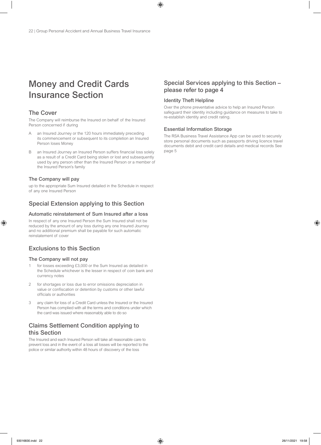## Money and Credit Cards Insurance Section

### The Cover

The Company will reimburse the Insured on behalf of the Insured Person concerned if during

- A an Insured Journey or the 120 hours immediately preceding its commencement or subsequent to its completion an Insured Person loses Money
- B an Insured Journey an Insured Person suffers financial loss solely as a result of a Credit Card being stolen or lost and subsequently used by any person other than the Insured Person or a member of the Insured Person's family

### The Company will pay

up to the appropriate Sum Insured detailed in the Schedule in respect of any one Insured Person

### Special Extension applying to this Section

### Automatic reinstatement of Sum Insured after a loss

In respect of any one Insured Person the Sum Insured shall not be reduced by the amount of any loss during any one Insured Journey and no additional premium shall be payable for such automatic reinstatement of cover

### Exclusions to this Section

### The Company will not pay

- for losses exceeding £3,000 or the Sum Insured as detailed in the Schedule whichever is the lesser in respect of coin bank and currency notes
- 2 for shortages or loss due to error omissions depreciation in value or confiscation or detention by customs or other lawful officials or authorities
- 3 any claim for loss of a Credit Card unless the Insured or the Insured Person has complied with all the terms and conditions under which the card was issued where reasonably able to do so

### Claims Settlement Condition applying to this Section

The Insured and each Insured Person will take all reasonable care to prevent loss and in the event of a loss all losses will be reported to the police or similar authority within 48 hours of discovery of the loss

### Special Services applying to this Section – please refer to page 4

### Identity Theft Helpline

Over the phone preventative advice to help an Insured Person safeguard their identity including guidance on measures to take to re-establish identity and credit rating.

### Essential Information Storage

The RSA Business Travel Assistance App can be used to securely store personal documents such as passports driving licence travel documents debit and credit card details and medical records See page 5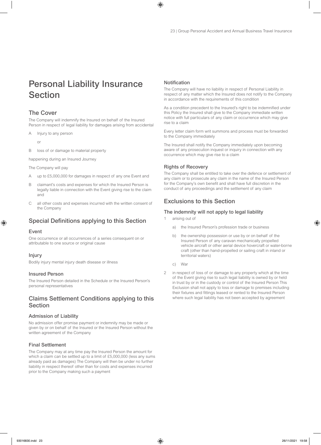## Personal Liability Insurance Section

### The Cover

The Company will indemnify the Insured on behalf of the Insured Person in respect of legal liability for damages arising from accidental

- A Injury to any person
	- or
- B loss of or damage to material property

happening during an Insured Journey

The Company will pay

- A up to £5,000,000 for damages in respect of any one Event and
- B claimant's costs and expenses for which the Insured Person is legally liable in connection with the Event giving rise to the claim and
- C all other costs and expenses incurred with the written consent of the Company

### Special Definitions applying to this Section

### Event

One occurrence or all occurrences of a series consequent on or attributable to one source or original cause

### Injury

Bodily injury mental injury death disease or illness

### Insured Person

The Insured Person detailed in the Schedule or the Insured Person's personal representatives

### Claims Settlement Conditions applying to this Section

### Admission of Liability

No admission offer promise payment or indemnity may be made or given by or on behalf of the Insured or the Insured Person without the written agreement of the Company

### Final Settlement

The Company may at any time pay the Insured Person the amount for which a claim can be settled up to a limit of £5,000,000 (less any sums already paid as damages) The Company will then be under no further liability in respect thereof other than for costs and expenses incurred prior to the Company making such a payment

### Notification

The Company will have no liability in respect of Personal Liability in respect of any matter which the Insured does not notify to the Company in accordance with the requirements of this condition

As a condition precedent to the Insured's right to be indemnified under this Policy the Insured shall give to the Company immediate written notice with full particulars of any claim or occurrence which may give rise to a claim

Every letter claim form writ summons and process must be forwarded to the Company immediately

The Insured shall notify the Company immediately upon becoming aware of any prosecution inquest or inquiry in connection with any occurrence which may give rise to a claim

### Rights of Recovery

The Company shall be entitled to take over the defence or settlement of any claim or to prosecute any claim in the name of the Insured Person for the Company's own benefit and shall have full discretion in the conduct of any proceedings and the settlement of any claim

### Exclusions to this Section

### The indemnity will not apply to legal liability

- arising out of
	- a) the Insured Person's profession trade or business
	- b) the ownership possession or use by or on behalf of the Insured Person of any caravan mechanically propelled vehicle aircraft or other aerial device hovercraft or water-borne craft (other than hand-propelled or sailing craft in inland or territorial waters)
	- c) War
- 2 in respect of loss of or damage to any property which at the time of the Event giving rise to such legal liability is owned by or held in trust by or in the custody or control of the Insured Person This Exclusion shall not apply to loss or damage to premises including their fixtures and fittings leased or rented to the Insured Person where such legal liability has not been accepted by agreement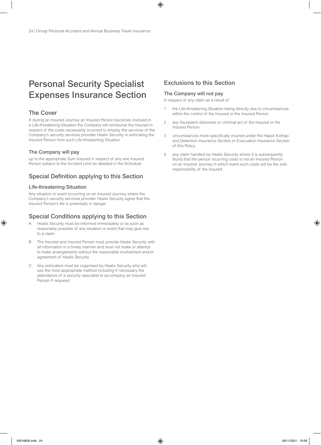## Personal Security Specialist Expenses Insurance Section

### The Cover

If during an Insured Journey an Insured Person becomes involved in a Life-threatening Situation the Company will reimburse the Insured in respect of the costs necessarily incurred to employ the services of the Company's security services provider Healix Security in extricating the Insured Person from such Life-threatening Situation

### The Company will pay

up to the appropriate Sum Insured in respect of any one Insured Person subject to the Incident Limit as detailed in the Schedule

### Special Definition applying to this Section

### Life-threatening Situation

Any situation or event occurring on an Insured Journey where the Company's security services provider Healix Security agree that the Insured Person's life is potentially in danger

### Special Conditions applying to this Section

- A Healix Security must be informed immediately or as soon as reasonably possible of any situation or event that may give rise to a claim
- B The Insured and Insured Person must provide Healix Security with all information in a timely manner and must not make or attempt to make arrangements without the reasonable involvement and/or agreement of Healix Security
- C Any extrication must be organised by Healix Security who will use the most appropriate method including if necessary the attendance of a security specialist to accompany an Insured Person if required

### Exclusions to this Section

### The Company will not pay

in respect of any claim as a result of

- 1 the Life-threatening Situation being directly due to circumstances within the control of the Insured or the Insured Person
- 2 any fraudulent dishonest or criminal act of the Insured or the Insured Person
- 3 circumstances more specifically insured under the Hijack Kidnap and Detention Insurance Section or Evacuation Insurance Section of this Policy
- 4 any claim handled by Healix Security where it is subsequently found that the person incurring costs is not an Insured Person on an Insured Journey in which event such costs will be the sole responsibility of the Insured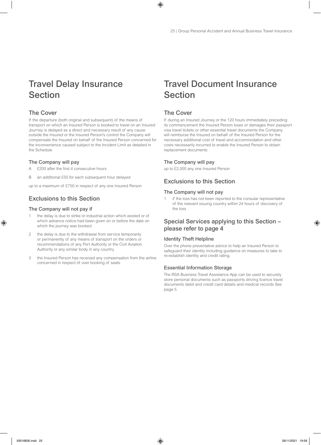## Travel Delay Insurance Section

### The Cover

If the departure (both original and subsequent) of the means of transport on which an Insured Person is booked to travel on an Insured Journey is delayed as a direct and necessary result of any cause outside the Insured or the Insured Person's control the Company will compensate the Insured on behalf of the Insured Person concerned for the inconvenience caused subject to the Incident Limit as detailed in the Schedule

#### The Company will pay

- £200 after the first 4 consecutive hours
- B an additional £50 for each subsequent hour delayed

up to a maximum of £750 in respect of any one Insured Person

### Exclusions to this Section

### The Company will not pay if

- the delay is due to strike or industrial action which existed or of which advance notice had been given on or before the date on which the journey was booked
- 2 the delay is due to the withdrawal from service temporarily or permanently of any means of transport on the orders or recommendations of any Port Authority or the Civil Aviation Authority or any similar body in any country
- 3 the Insured Person has received any compensation from the airline concerned in respect of over booking of seats

## Travel Document Insurance **Section**

### The Cover

If during an Insured Journey or the 120 hours immediately preceding its commencement the Insured Person loses or damages their passport visa travel tickets or other essential travel documents the Company will reimburse the Insured on behalf of the Insured Person for the necessary additional cost of travel and accommodation and other costs necessarily incurred to enable the Insured Person to obtain replacement documents

### The Company will pay

up to £2,000 any one Insured Person

### Exclusions to this Section

#### The Company will not pay

1 if the loss has not been reported to the consular representative of the relevant issuing country within 24 hours of discovery of the loss

### Special Services applying to this Section – please refer to page 4

### Identity Theft Helpline

Over the phone preventative advice to help an Insured Person to safeguard their identity including guidance on measures to take to re-establish identity and credit rating.

### Essential Information Storage

The RSA Business Travel Assistance App can be used to securely store personal documents such as passports driving licence travel documents debit and credit card details and medical records See page 5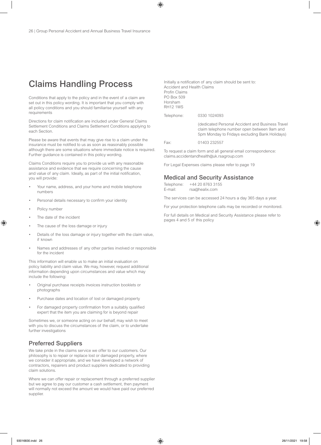## Claims Handling Process

Conditions that apply to the policy and in the event of a claim are set out in this policy wording. It is important that you comply with all policy conditions and you should familiarise yourself with any requirements

Directions for claim notification are included under General Claims Settlement Conditions and Claims Settlement Conditions applying to each Section.

Please be aware that events that may give rise to a claim under the insurance must be notified to us as soon as reasonably possible although there are some situations where immediate notice is required. Further guidance is contained in this policy wording.

Claims Conditions require you to provide us with any reasonable assistance and evidence that we require concerning the cause and value of any claim. Ideally, as part of the initial notification, you will provide:

- Your name, address, and your home and mobile telephone numbers
- Personal details necessary to confirm your identity
- Policy number
- The date of the incident
- The cause of the loss damage or injury
- Details of the loss damage or injury together with the claim value, if known
- Names and addresses of any other parties involved or responsible for the incident

This information will enable us to make an initial evaluation on policy liability and claim value. We may, however, request additional information depending upon circumstances and value which may include the following:

- Original purchase receipts invoices instruction booklets or photographs
- Purchase dates and location of lost or damaged property
- For damaged property confirmation from a suitably qualified expert that the item you are claiming for is beyond repair

Sometimes we, or someone acting on our behalf, may wish to meet with you to discuss the circumstances of the claim, or to undertake further investigations

### Preferred Suppliers

We take pride in the claims service we offer to our customers. Our philosophy is to repair or replace lost or damaged property, where we consider it appropriate, and we have developed a network of contractors, repairers and product suppliers dedicated to providing claim solutions.

Where we can offer repair or replacement through a preferred supplier but we agree to pay our customer a cash settlement, then payment will normally not exceed the amount we would have paid our preferred supplier.

Initially a notification of any claim should be sent to: Accident and Health Claims Profin Claims PO Box 509 Horsham RH12 1WS

Telephone: 0330 1024093

 (dedicated Personal Accident and Business Travel claim telephone number open between 9am and 5pm Monday to Fridays excluding Bank Holidays)

Fax: 01403 232557

To request a claim form and all general email correspondence: claims.accidentandhealth@uk.rsagroup.com

For Legal Expenses claims please refer to page 19

### Medical and Security Assistance

| Telephone: | +44 20 8763 3155 |
|------------|------------------|
| E-mail:    | rsa@healix.com   |

The services can be accessed 24 hours a day 365 days a year.

For your protection telephone calls may be recorded or monitored.

For full details on Medical and Security Assistance please refer to pages 4 and 5 of this policy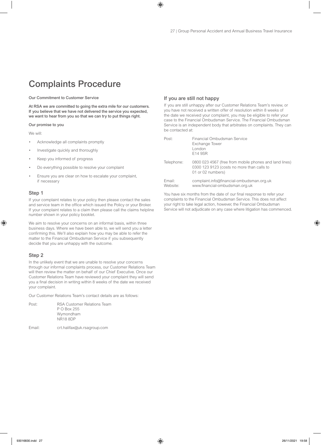## Complaints Procedure

Our Commitment to Customer Service

At RSA we are committed to going the extra mile for our customers. If you believe that we have not delivered the service you expected, we want to hear from you so that we can try to put things right.

#### Our promise to you

We will:

- Acknowledge all complaints promptly
- Investigate quickly and thoroughly
- Keep you informed of progress
- Do everything possible to resolve your complaint
- Ensure you are clear on how to escalate your complaint, if necessary

#### Step 1

If your complaint relates to your policy then please contact the sales and service team in the office which issued the Policy or your Broker. If your complaint relates to a claim then please call the claims helpline number shown in your policy booklet.

We aim to resolve your concerns on an informal basis, within three business days. Where we have been able to, we will send you a letter confirming this. We'll also explain how you may be able to refer the matter to the Financial Ombudsman Service if you subsequently decide that you are unhappy with the outcome.

#### Step 2

In the unlikely event that we are unable to resolve your concerns through our informal complaints process, our Customer Relations Team will then review the matter on behalf of our Chief Executive. Once our Customer Relations Team have reviewed your complaint they will send you a final decision in writing within 8 weeks of the date we received your complaint.

Our Customer Relations Team's contact details are as follows:

| Post: | RSA Customer Relations Team |
|-------|-----------------------------|
|       | P O Box 255                 |
|       | Wymondham                   |
|       | <b>NR18 8DP</b>             |

Email: crt.halifax@uk.rsagroup.com

### If you are still not happy

If you are still unhappy after our Customer Relations Team's review, or you have not received a written offer of resolution within 8 weeks of the date we received your complaint, you may be eligible to refer your case to the Financial Ombudsman Service. The Financial Ombudsman Service is an independent body that arbitrates on complaints. They can be contacted at:

| Post:              | Financial Ombudsman Service<br>Exchange Tower<br>London<br>E14 9SR                                                        |
|--------------------|---------------------------------------------------------------------------------------------------------------------------|
| Telephone:         | 0800 023 4567 (free from mobile phones and land lines)<br>0300 123 9123 (costs no more than calls to<br>01 or 02 numbers) |
| Email:<br>Website: | complaint.info@financial-ombudsman.org.uk<br>www.financial-ombudsman.org.uk                                               |

You have six months from the date of our final response to refer your complaints to the Financial Ombudsman Service. This does not affect your right to take legal action, however, the Financial Ombudsman Service will not adjudicate on any case where litigation has commenced.